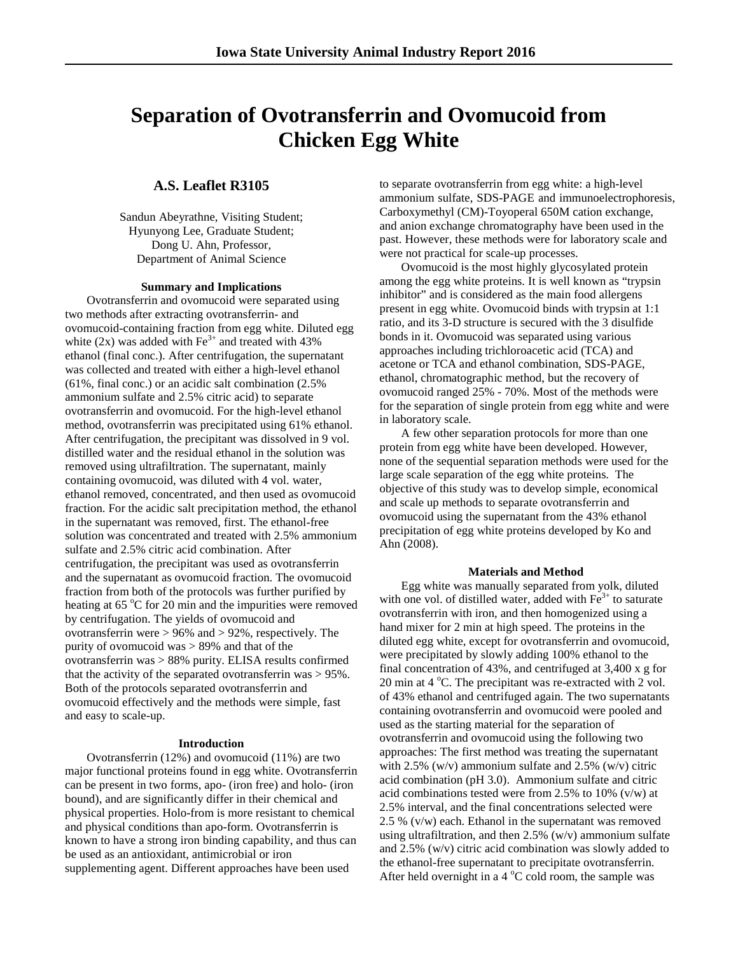# **Separation of Ovotransferrin and Ovomucoid from Chicken Egg White**

## **A.S. Leaflet R3105**

Sandun Abeyrathne, Visiting Student; Hyunyong Lee, Graduate Student; Dong U. Ahn, Professor, Department of Animal Science

#### **Summary and Implications**

Ovotransferrin and ovomucoid were separated using two methods after extracting ovotransferrin- and ovomucoid-containing fraction from egg white. Diluted egg white (2x) was added with  $Fe<sup>3+</sup>$  and treated with 43% ethanol (final conc.). After centrifugation, the supernatant was collected and treated with either a high-level ethanol (61%, final conc.) or an acidic salt combination (2.5% ammonium sulfate and 2.5% citric acid) to separate ovotransferrin and ovomucoid. For the high-level ethanol method, ovotransferrin was precipitated using 61% ethanol. After centrifugation, the precipitant was dissolved in 9 vol. distilled water and the residual ethanol in the solution was removed using ultrafiltration. The supernatant, mainly containing ovomucoid, was diluted with 4 vol. water, ethanol removed, concentrated, and then used as ovomucoid fraction. For the acidic salt precipitation method, the ethanol in the supernatant was removed, first. The ethanol-free solution was concentrated and treated with 2.5% ammonium sulfate and 2.5% citric acid combination. After centrifugation, the precipitant was used as ovotransferrin and the supernatant as ovomucoid fraction. The ovomucoid fraction from both of the protocols was further purified by heating at 65 °C for 20 min and the impurities were removed by centrifugation. The yields of ovomucoid and ovotransferrin were  $> 96\%$  and  $> 92\%$ , respectively. The purity of ovomucoid was > 89% and that of the ovotransferrin was > 88% purity. ELISA results confirmed that the activity of the separated ovotransferrin was > 95%. Both of the protocols separated ovotransferrin and ovomucoid effectively and the methods were simple, fast and easy to scale-up.

#### **Introduction**

Ovotransferrin (12%) and ovomucoid (11%) are two major functional proteins found in egg white. Ovotransferrin can be present in two forms, apo- (iron free) and holo- (iron bound), and are significantly differ in their chemical and physical properties. Holo-from is more resistant to chemical and physical conditions than apo-form. Ovotransferrin is known to have a strong iron binding capability, and thus can be used as an antioxidant, antimicrobial or iron supplementing agent. Different approaches have been used

to separate ovotransferrin from egg white: a high-level ammonium sulfate, SDS-PAGE and immunoelectrophoresis, Carboxymethyl (CM)-Toyoperal 650M cation exchange, and anion exchange chromatography have been used in the past. However, these methods were for laboratory scale and were not practical for scale-up processes.

Ovomucoid is the most highly glycosylated protein among the egg white proteins. It is well known as "trypsin inhibitor" and is considered as the main food allergens present in egg white. Ovomucoid binds with trypsin at 1:1 ratio, and its 3-D structure is secured with the 3 disulfide bonds in it. Ovomucoid was separated using various approaches including trichloroacetic acid (TCA) and acetone or TCA and ethanol combination, SDS-PAGE, ethanol, chromatographic method, but the recovery of ovomucoid ranged 25% - 70%. Most of the methods were for the separation of single protein from egg white and were in laboratory scale.

A few other separation protocols for more than one protein from egg white have been developed. However, none of the sequential separation methods were used for the large scale separation of the egg white proteins. The objective of this study was to develop simple, economical and scale up methods to separate ovotransferrin and ovomucoid using the supernatant from the 43% ethanol precipitation of egg white proteins developed by Ko and Ahn (2008).

#### **Materials and Method**

Egg white was manually separated from yolk, diluted with one vol. of distilled water, added with  $Fe<sup>3+</sup>$  to saturate ovotransferrin with iron, and then homogenized using a hand mixer for 2 min at high speed. The proteins in the diluted egg white, except for ovotransferrin and ovomucoid, were precipitated by slowly adding 100% ethanol to the final concentration of 43%, and centrifuged at 3,400 x g for 20 min at 4 °C. The precipitant was re-extracted with 2 vol. of 43% ethanol and centrifuged again. The two supernatants containing ovotransferrin and ovomucoid were pooled and used as the starting material for the separation of ovotransferrin and ovomucoid using the following two approaches: The first method was treating the supernatant with 2.5% (w/v) ammonium sulfate and 2.5% (w/v) citric acid combination (pH 3.0). Ammonium sulfate and citric acid combinations tested were from 2.5% to 10% (v/w) at 2.5% interval, and the final concentrations selected were 2.5 % (v/w) each. Ethanol in the supernatant was removed using ultrafiltration, and then 2.5% (w/v) ammonium sulfate and 2.5% (w/v) citric acid combination was slowly added to the ethanol-free supernatant to precipitate ovotransferrin. After held overnight in a  $4^{\circ}$ C cold room, the sample was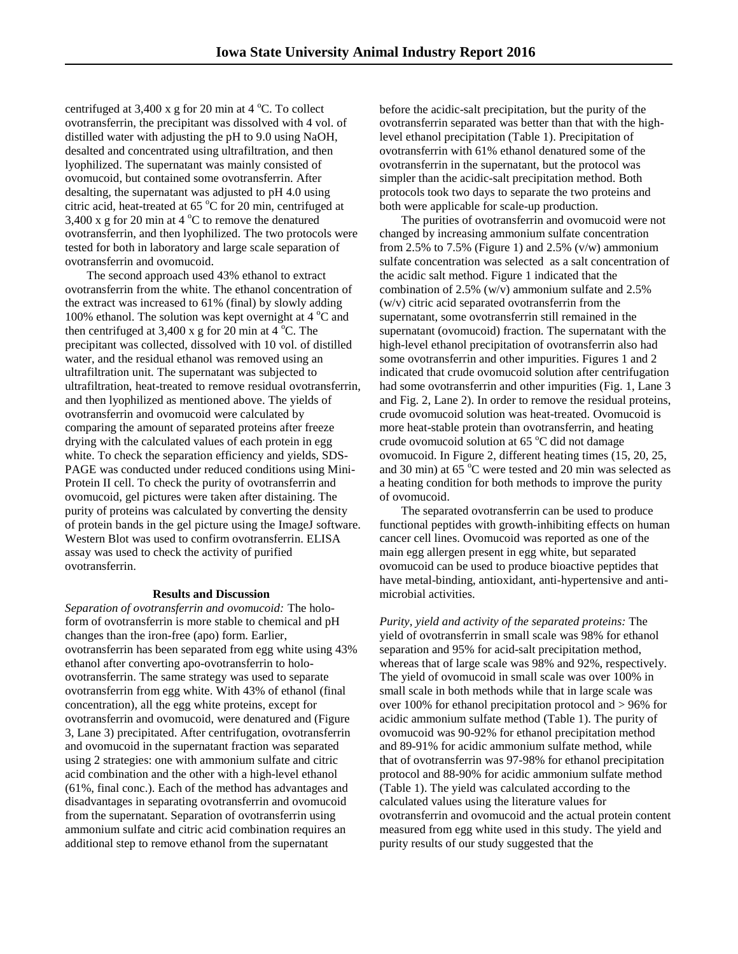centrifuged at  $3,400 \times g$  for 20 min at  $4^{\circ}$ C. To collect ovotransferrin, the precipitant was dissolved with 4 vol. of distilled water with adjusting the pH to 9.0 using NaOH, desalted and concentrated using ultrafiltration, and then lyophilized. The supernatant was mainly consisted of ovomucoid, but contained some ovotransferrin. After desalting, the supernatant was adjusted to pH 4.0 using citric acid, heat-treated at 65 °C for 20 min, centrifuged at 3,400 x g for 20 min at 4  $^{\circ}$ C to remove the denatured ovotransferrin, and then lyophilized. The two protocols were tested for both in laboratory and large scale separation of ovotransferrin and ovomucoid.

The second approach used 43% ethanol to extract ovotransferrin from the white. The ethanol concentration of the extract was increased to 61% (final) by slowly adding 100% ethanol. The solution was kept overnight at 4  $^{\circ}$ C and then centrifuged at 3,400 x g for 20 min at  $4^{\circ}$ C. The precipitant was collected, dissolved with 10 vol. of distilled water, and the residual ethanol was removed using an ultrafiltration unit. The supernatant was subjected to ultrafiltration, heat-treated to remove residual ovotransferrin, and then lyophilized as mentioned above. The yields of ovotransferrin and ovomucoid were calculated by comparing the amount of separated proteins after freeze drying with the calculated values of each protein in egg white. To check the separation efficiency and yields, SDS-PAGE was conducted under reduced conditions using Mini-Protein II cell. To check the purity of ovotransferrin and ovomucoid, gel pictures were taken after distaining. The purity of proteins was calculated by converting the density of protein bands in the gel picture using the ImageJ software. Western Blot was used to confirm ovotransferrin. ELISA assay was used to check the activity of purified ovotransferrin.

#### **Results and Discussion**

*Separation of ovotransferrin and ovomucoid:* The holoform of ovotransferrin is more stable to chemical and pH changes than the iron-free (apo) form. Earlier, ovotransferrin has been separated from egg white using 43% ethanol after converting apo-ovotransferrin to holoovotransferrin. The same strategy was used to separate ovotransferrin from egg white. With 43% of ethanol (final concentration), all the egg white proteins, except for ovotransferrin and ovomucoid, were denatured and (Figure 3, Lane 3) precipitated. After centrifugation, ovotransferrin and ovomucoid in the supernatant fraction was separated using 2 strategies: one with ammonium sulfate and citric acid combination and the other with a high-level ethanol (61%, final conc.). Each of the method has advantages and disadvantages in separating ovotransferrin and ovomucoid from the supernatant. Separation of ovotransferrin using ammonium sulfate and citric acid combination requires an additional step to remove ethanol from the supernatant

before the acidic-salt precipitation, but the purity of the ovotransferrin separated was better than that with the highlevel ethanol precipitation (Table 1). Precipitation of ovotransferrin with 61% ethanol denatured some of the ovotransferrin in the supernatant, but the protocol was simpler than the acidic-salt precipitation method. Both protocols took two days to separate the two proteins and both were applicable for scale-up production.

The purities of ovotransferrin and ovomucoid were not changed by increasing ammonium sulfate concentration from 2.5% to 7.5% (Figure 1) and 2.5%  $(v/w)$  ammonium sulfate concentration was selected as a salt concentration of the acidic salt method. Figure 1 indicated that the combination of 2.5% (w/v) ammonium sulfate and 2.5% (w/v) citric acid separated ovotransferrin from the supernatant, some ovotransferrin still remained in the supernatant (ovomucoid) fraction. The supernatant with the high-level ethanol precipitation of ovotransferrin also had some ovotransferrin and other impurities. Figures 1 and 2 indicated that crude ovomucoid solution after centrifugation had some ovotransferrin and other impurities (Fig. 1, Lane 3 and Fig. 2, Lane 2). In order to remove the residual proteins, crude ovomucoid solution was heat-treated. Ovomucoid is more heat-stable protein than ovotransferrin, and heating crude ovomucoid solution at  $65^{\circ}$ C did not damage ovomucoid. In Figure 2, different heating times (15, 20, 25, and 30 min) at  $65^{\circ}$ C were tested and 20 min was selected as a heating condition for both methods to improve the purity of ovomucoid.

The separated ovotransferrin can be used to produce functional peptides with growth-inhibiting effects on human cancer cell lines. Ovomucoid was reported as one of the main egg allergen present in egg white, but separated ovomucoid can be used to produce bioactive peptides that have metal-binding, antioxidant, anti-hypertensive and antimicrobial activities.

*Purity, yield and activity of the separated proteins:* The yield of ovotransferrin in small scale was 98% for ethanol separation and 95% for acid-salt precipitation method, whereas that of large scale was 98% and 92%, respectively. The yield of ovomucoid in small scale was over 100% in small scale in both methods while that in large scale was over 100% for ethanol precipitation protocol and > 96% for acidic ammonium sulfate method (Table 1). The purity of ovomucoid was 90-92% for ethanol precipitation method and 89-91% for acidic ammonium sulfate method, while that of ovotransferrin was 97-98% for ethanol precipitation protocol and 88-90% for acidic ammonium sulfate method (Table 1). The yield was calculated according to the calculated values using the literature values for ovotransferrin and ovomucoid and the actual protein content measured from egg white used in this study. The yield and purity results of our study suggested that the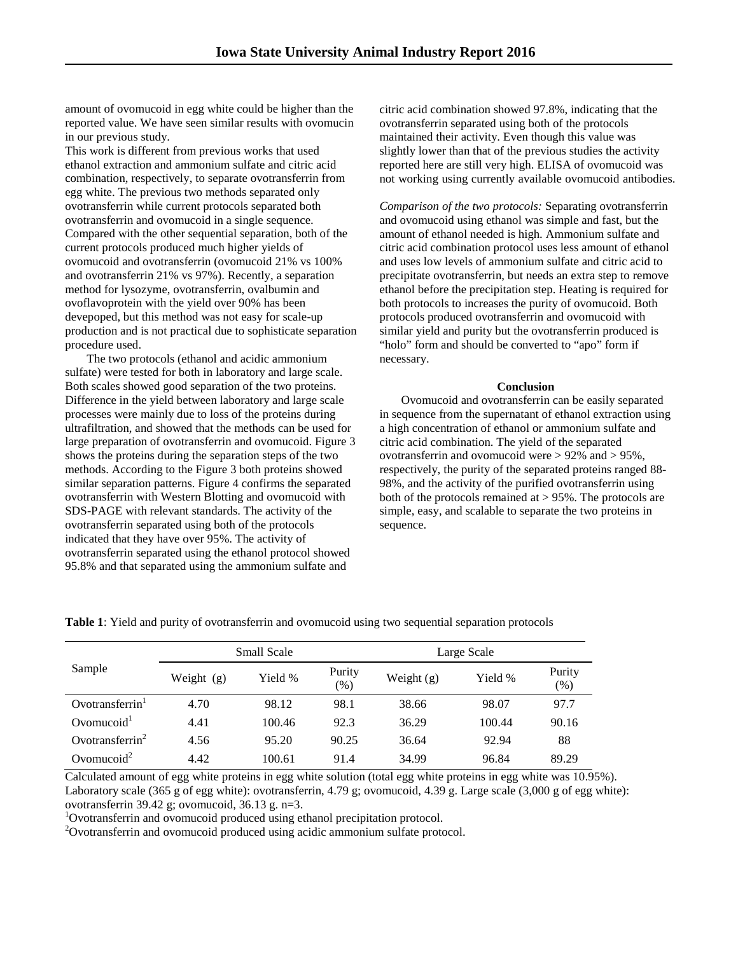amount of ovomucoid in egg white could be higher than the reported value. We have seen similar results with ovomucin in our previous study.

This work is different from previous works that used ethanol extraction and ammonium sulfate and citric acid combination, respectively, to separate ovotransferrin from egg white. The previous two methods separated only ovotransferrin while current protocols separated both ovotransferrin and ovomucoid in a single sequence. Compared with the other sequential separation, both of the current protocols produced much higher yields of ovomucoid and ovotransferrin (ovomucoid 21% vs 100% and ovotransferrin 21% vs 97%). Recently, a separation method for lysozyme, ovotransferrin, ovalbumin and ovoflavoprotein with the yield over 90% has been devepoped, but this method was not easy for scale-up production and is not practical due to sophisticate separation procedure used.

The two protocols (ethanol and acidic ammonium sulfate) were tested for both in laboratory and large scale. Both scales showed good separation of the two proteins. Difference in the yield between laboratory and large scale processes were mainly due to loss of the proteins during ultrafiltration, and showed that the methods can be used for large preparation of ovotransferrin and ovomucoid. Figure 3 shows the proteins during the separation steps of the two methods. According to the Figure 3 both proteins showed similar separation patterns. Figure 4 confirms the separated ovotransferrin with Western Blotting and ovomucoid with SDS-PAGE with relevant standards. The activity of the ovotransferrin separated using both of the protocols indicated that they have over 95%. The activity of ovotransferrin separated using the ethanol protocol showed 95.8% and that separated using the ammonium sulfate and

citric acid combination showed 97.8%, indicating that the ovotransferrin separated using both of the protocols maintained their activity. Even though this value was slightly lower than that of the previous studies the activity reported here are still very high. ELISA of ovomucoid was not working using currently available ovomucoid antibodies.

*Comparison of the two protocols:* Separating ovotransferrin and ovomucoid using ethanol was simple and fast, but the amount of ethanol needed is high. Ammonium sulfate and citric acid combination protocol uses less amount of ethanol and uses low levels of ammonium sulfate and citric acid to precipitate ovotransferrin, but needs an extra step to remove ethanol before the precipitation step. Heating is required for both protocols to increases the purity of ovomucoid. Both protocols produced ovotransferrin and ovomucoid with similar yield and purity but the ovotransferrin produced is "holo" form and should be converted to "apo" form if necessary.

### **Conclusion**

Ovomucoid and ovotransferrin can be easily separated in sequence from the supernatant of ethanol extraction using a high concentration of ethanol or ammonium sulfate and citric acid combination. The yield of the separated ovotransferrin and ovomucoid were > 92% and > 95%, respectively, the purity of the separated proteins ranged 88- 98%, and the activity of the purified ovotransferrin using both of the protocols remained at > 95%. The protocols are simple, easy, and scalable to separate the two proteins in sequence.

| Sample                 | Small Scale  |         |                | Large Scale  |         |               |
|------------------------|--------------|---------|----------------|--------------|---------|---------------|
|                        | Weight $(g)$ | Yield % | Purity<br>(% ) | Weight $(g)$ | Yield % | Purity<br>(%) |
| Ovotransferrin         | 4.70         | 98.12   | 98.1           | 38.66        | 98.07   | 97.7          |
| Ovomucoid $^1$         | 4.41         | 100.46  | 92.3           | 36.29        | 100.44  | 90.16         |
| Ovotransferrin $2$     | 4.56         | 95.20   | 90.25          | 36.64        | 92.94   | 88            |
| Ovomucoid <sup>2</sup> | 4.42         | 100.61  | 91.4           | 34.99        | 96.84   | 89.29         |

**Table 1**: Yield and purity of ovotransferrin and ovomucoid using two sequential separation protocols

Calculated amount of egg white proteins in egg white solution (total egg white proteins in egg white was 10.95%). Laboratory scale (365 g of egg white): ovotransferrin, 4.79 g; ovomucoid, 4.39 g. Large scale (3,000 g of egg white): ovotransferrin 39.42 g; ovomucoid, 36.13 g. n=3. <sup>1</sup>

Ovotransferrin and ovomucoid produced using ethanol precipitation protocol.

<sup>2</sup>Ovotransferrin and ovomucoid produced using acidic ammonium sulfate protocol.